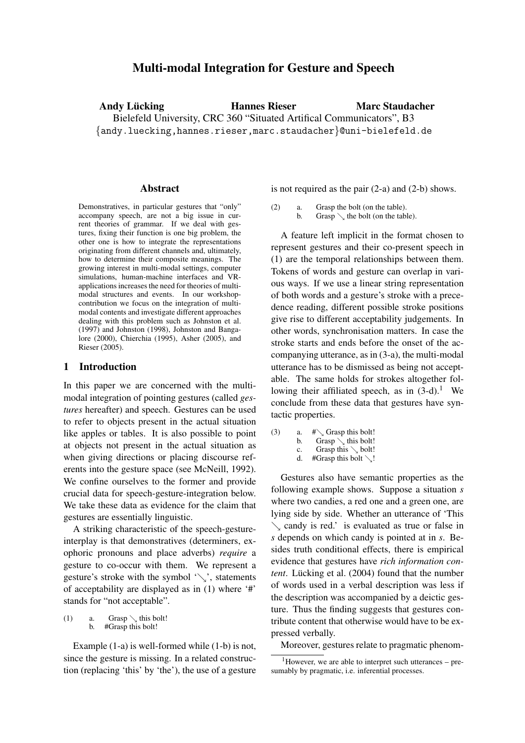# **Multi-modal Integration for Gesture and Speech**

**Andy Lücking The Hannes Rieser** Bielefeld University, CRC 360 "Situated Artifical Communicators", B3 {andy.luecking,hannes.rieser,marc.staudacher}@uni-bielefeld.de **Marc Staudacher**

#### **Abstract**

Demonstratives, in particular gestures that "only" accompany speech, are not a big issue in current theories of grammar. If we deal with gestures, fixing their function is one big problem, the other one is how to integrate the representations originating from different channels and, ultimately, how to determine their composite meanings. The growing interest in multi-modal settings, computer simulations, human-machine interfaces and VRapplications increases the need for theories of multimodal structures and events. In our workshopcontribution we focus on the integration of multimodal contents and investigate different approaches dealing with this problem such as Johnston et al. (1997) and Johnston (1998), Johnston and Bangalore (2000), Chierchia (1995), Asher (2005), and Rieser (2005).

#### **1 Introduction**

In this paper we are concerned with the multimodal integration of pointing gestures (called *gestures* hereafter) and speech. Gestures can be used to refer to objects present in the actual situation like apples or tables. It is also possible to point at objects not present in the actual situation as when giving directions or placing discourse referents into the gesture space (see McNeill, 1992). We confine ourselves to the former and provide crucial data for speech-gesture-integration below. We take these data as evidence for the claim that gestures are essentially linguistic.

A striking characteristic of the speech-gestureinterplay is that demonstratives (determiners, exophoric pronouns and place adverbs) *require* a gesture to co-occur with them. We represent a gesture's stroke with the symbol ' $\setminus$ ', statements of acceptability are displayed as in (1) where '#' stands for "not acceptable".

(1) a. Grasp  $\lambda$  this bolt!<br>b #Grasn this bolt! #Grasp this bolt!

Example (1-a) is well-formed while (1-b) is not, since the gesture is missing. In a related construction (replacing 'this' by 'the'), the use of a gesture is not required as the pair (2-a) and (2-b) shows.

(2) a. Grasp the bolt (on the table). b. Grasp  $\setminus$  the bolt (on the table).

A feature left implicit in the format chosen to represent gestures and their co-present speech in (1) are the temporal relationships between them. Tokens of words and gesture can overlap in various ways. If we use a linear string representation of both words and a gesture's stroke with a precedence reading, different possible stroke positions give rise to different acceptability judgements. In other words, synchronisation matters. In case the stroke starts and ends before the onset of the accompanying utterance, as in (3-a), the multi-modal utterance has to be dismissed as being not acceptable. The same holds for strokes altogether following their affiliated speech, as in  $(3-d)$ .<sup>1</sup> We conclude from these data that gestures have syntactic properties.

(3) a.  $\# \searrow$  Grasp this bolt! b. Grasp  $\setminus$  this bolt! c. Grasp this  $\setminus$  bolt!<br>d. #Grasp this bolt  $\setminus$ ! #Grasp this bolt  $\setminus$ !

Gestures also have semantic properties as the following example shows. Suppose a situation *s* where two candies, a red one and a green one, are lying side by side. Whether an utterance of 'This  $\sim$  candy is red.' is evaluated as true or false in *s* depends on which candy is pointed at in *s*. Besides truth conditional effects, there is empirical evidence that gestures have *rich information content*. Lücking et al. (2004) found that the number of words used in a verbal description was less if the description was accompanied by a deictic gesture. Thus the finding suggests that gestures contribute content that otherwise would have to be expressed verbally.

Moreover, gestures relate to pragmatic phenom-

 $1$ However, we are able to interpret such utterances – presumably by pragmatic, i.e. inferential processes.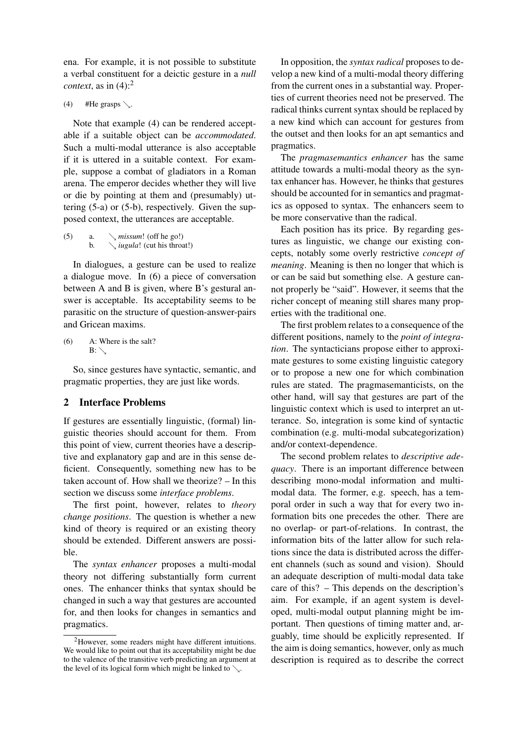ena. For example, it is not possible to substitute a verbal constituent for a deictic gesture in a *null context*, as in (4):<sup>2</sup>

(4) #He grasps  $\searrow$ .

Note that example (4) can be rendered acceptable if a suitable object can be *accommodated*. Such a multi-modal utterance is also acceptable if it is uttered in a suitable context. For example, suppose a combat of gladiators in a Roman arena. The emperor decides whether they will live or die by pointing at them and (presumably) uttering (5-a) or (5-b), respectively. Given the supposed context, the utterances are acceptable.

(5) a. 
$$
\sqrt{missum!}
$$
 (off he go!)  
b.  $\sqrt{u}$  *jugula!* (cut his throat!)

In dialogues, a gesture can be used to realize a dialogue move. In (6) a piece of conversation between A and B is given, where B's gestural answer is acceptable. Its acceptability seems to be parasitic on the structure of question-answer-pairs and Gricean maxims.

(6) A: Where is the salt?  $B: \diagdown$ 

So, since gestures have syntactic, semantic, and pragmatic properties, they are just like words.

## **2 Interface Problems**

If gestures are essentially linguistic, (formal) linguistic theories should account for them. From this point of view, current theories have a descriptive and explanatory gap and are in this sense deficient. Consequently, something new has to be taken account of. How shall we theorize? – In this section we discuss some *interface problems*.

The first point, however, relates to *theory change positions*. The question is whether a new kind of theory is required or an existing theory should be extended. Different answers are possible.

The *syntax enhancer* proposes a multi-modal theory not differing substantially form current ones. The enhancer thinks that syntax should be changed in such a way that gestures are accounted for, and then looks for changes in semantics and pragmatics.

In opposition, the *syntax radical* proposes to develop a new kind of a multi-modal theory differing from the current ones in a substantial way. Properties of current theories need not be preserved. The radical thinks current syntax should be replaced by a new kind which can account for gestures from the outset and then looks for an apt semantics and pragmatics.

The *pragmasemantics enhancer* has the same attitude towards a multi-modal theory as the syntax enhancer has. However, he thinks that gestures should be accounted for in semantics and pragmatics as opposed to syntax. The enhancers seem to be more conservative than the radical.

Each position has its price. By regarding gestures as linguistic, we change our existing concepts, notably some overly restrictive *concept of meaning*. Meaning is then no longer that which is or can be said but something else. A gesture cannot properly be "said". However, it seems that the richer concept of meaning still shares many properties with the traditional one.

The first problem relates to a consequence of the different positions, namely to the *point of integration*. The syntacticians propose either to approximate gestures to some existing linguistic category or to propose a new one for which combination rules are stated. The pragmasemanticists, on the other hand, will say that gestures are part of the linguistic context which is used to interpret an utterance. So, integration is some kind of syntactic combination (e.g. multi-modal subcategorization) and/or context-dependence.

The second problem relates to *descriptive adequacy*. There is an important difference between describing mono-modal information and multimodal data. The former, e.g. speech, has a temporal order in such a way that for every two information bits one precedes the other. There are no overlap- or part-of-relations. In contrast, the information bits of the latter allow for such relations since the data is distributed across the different channels (such as sound and vision). Should an adequate description of multi-modal data take care of this? – This depends on the description's aim. For example, if an agent system is developed, multi-modal output planning might be important. Then questions of timing matter and, arguably, time should be explicitly represented. If the aim is doing semantics, however, only as much description is required as to describe the correct

<sup>2</sup>However, some readers might have different intuitions. We would like to point out that its acceptability might be due to the valence of the transitive verb predicting an argument at the level of its logical form which might be linked to  $\searrow$ .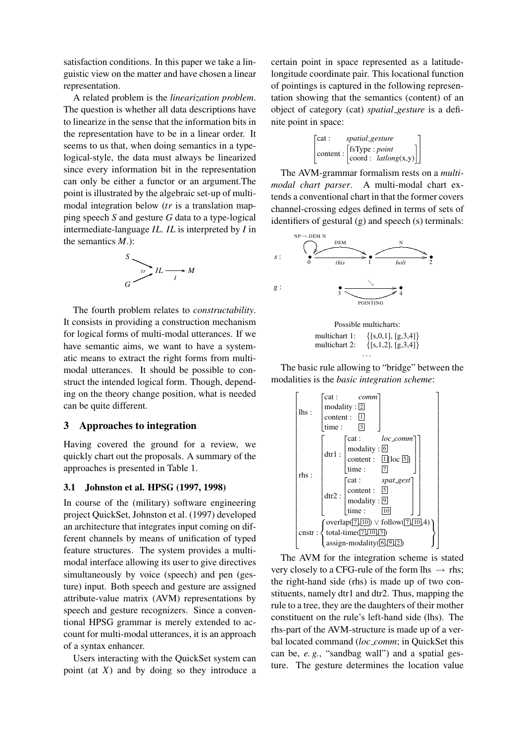satisfaction conditions. In this paper we take a linguistic view on the matter and have chosen a linear representation.

A related problem is the *linearization problem*. The question is whether all data descriptions have to linearize in the sense that the information bits in the representation have to be in a linear order. It seems to us that, when doing semantics in a typelogical-style, the data must always be linearized since every information bit in the representation can only be either a functor or an argument.The point is illustrated by the algebraic set-up of multimodal integration below (*tr* is a translation mapping speech *S* and gesture *G* data to a type-logical intermediate-language *IL*. *IL* is interpreted by *I* in the semantics *M*.):

$$
\begin{array}{c}\nS \\
\hline\n\vdots \\
G\n\end{array}
$$

The fourth problem relates to *constructability*. It consists in providing a construction mechanism for logical forms of multi-modal utterances. If we have semantic aims, we want to have a systematic means to extract the right forms from multimodal utterances. It should be possible to construct the intended logical form. Though, depending on the theory change position, what is needed can be quite different.

#### **3 Approaches to integration**

Having covered the ground for a review, we quickly chart out the proposals. A summary of the approaches is presented in Table 1.

## **3.1 Johnston et al. HPSG (1997, 1998)**

In course of the (military) software engineering project QuickSet, Johnston et al. (1997) developed an architecture that integrates input coming on different channels by means of unification of typed feature structures. The system provides a multimodal interface allowing its user to give directives simultaneously by voice (speech) and pen (gesture) input. Both speech and gesture are assigned attribute-value matrix (AVM) representations by speech and gesture recognizers. Since a conventional HPSG grammar is merely extended to account for multi-modal utterances, it is an approach of a syntax enhancer.

Users interacting with the QuickSet system can point (at *X*) and by doing so they introduce a certain point in space represented as a latitudelongitude coordinate pair. This locational function of pointings is captured in the following representation showing that the semantics (content) of an object of category (cat) *spatial gesture* is a definite point in space:

| $\sqrt{\cot x}$ : | spatial_gesture                                                                                                                           |  |
|-------------------|-------------------------------------------------------------------------------------------------------------------------------------------|--|
|                   | $\left[\text{content}: \left[\begin{matrix} \text{fsType}: \text{point} \\ \text{coord}: \text{ latalog(x,y)} \end{matrix}\right]\right]$ |  |

The AVM-grammar formalism rests on a *multimodal chart parser*. A multi-modal chart extends a conventional chart in that the former covers channel-crossing edges defined in terms of sets of identifiers of gestural (g) and speech (s) terminals:



Possible multicharts: multichart 1:  $\{ [s, 0, 1], [g, 3, 4] \}$ <br>multichart 2:  $\{ [s, 1, 2], [g, 3, 4] \}$  $\{ [s,1,2], [g,3,4] \}$ . . .

The basic rule allowing to "bridge" between the modalities is the *basic integration scheme*:



The AVM for the integration scheme is stated very closely to a CFG-rule of the form lhs  $\rightarrow$  rhs; the right-hand side (rhs) is made up of two constituents, namely dtr1 and dtr2. Thus, mapping the rule to a tree, they are the daughters of their mother constituent on the rule's left-hand side (lhs). The rhs-part of the AVM-structure is made up of a verbal located command (*loc comm*; in QuickSet this can be, *e. g.*, "sandbag wall") and a spatial gesture. The gesture determines the location value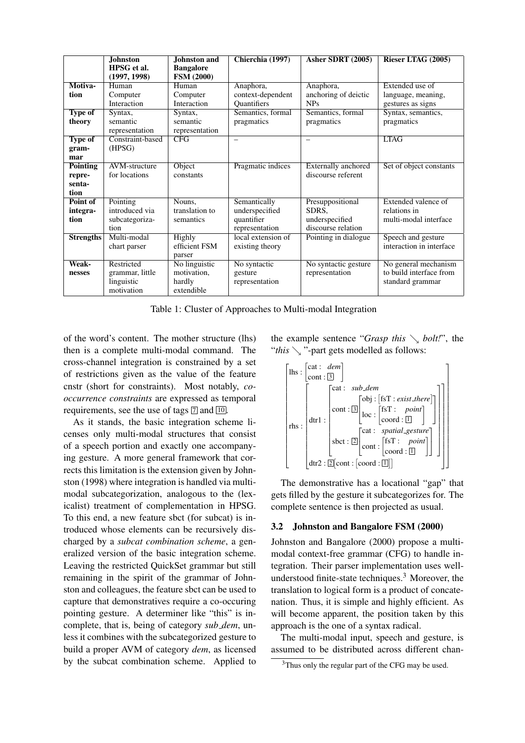|                  | <b>Johnston</b>  | Johnston and      | Chierchia (1997)   | Asher SDRT (2005)          | Rieser LTAG (2005)       |
|------------------|------------------|-------------------|--------------------|----------------------------|--------------------------|
|                  | HPSG et al.      | <b>Bangalore</b>  |                    |                            |                          |
|                  | (1997, 1998)     | <b>FSM (2000)</b> |                    |                            |                          |
| Motiva-          | Human            | Human             | Anaphora,          | Anaphora,                  | Extended use of          |
| tion             | Computer         | Computer          | context-dependent  | anchoring of deictic       | language, meaning,       |
|                  | Interaction      | Interaction       | <b>Quantifiers</b> | <b>NPs</b>                 | gestures as signs        |
| <b>Type of</b>   | Syntax,          | Syntax,           | Semantics, formal  | Semantics, formal          | Syntax, semantics,       |
| theory           | semantic         | semantic          | pragmatics         | pragmatics                 | pragmatics               |
|                  | representation   | representation    |                    |                            |                          |
| <b>Type of</b>   | Constraint-based | <b>CFG</b>        | $\qquad \qquad$    |                            | <b>LTAG</b>              |
| gram-            | (HPSG)           |                   |                    |                            |                          |
| mar              |                  |                   |                    |                            |                          |
| <b>Pointing</b>  | AVM-structure    | Object            | Pragmatic indices  | <b>Externally</b> anchored | Set of object constants  |
| repre-           | for locations    | constants         |                    | discourse referent         |                          |
| senta-           |                  |                   |                    |                            |                          |
| tion             |                  |                   |                    |                            |                          |
| Point of         | Pointing         | Nouns,            | Semantically       | Presuppositional           | Extended valence of      |
| integra-         | introduced via   | translation to    | underspecified     | SDRS.                      | relations in             |
| tion             | subcategoriza-   | semantics         | quantifier         | underspecified             | multi-modal interface    |
|                  | tion             |                   | representation     | discourse relation         |                          |
| <b>Strengths</b> | Multi-modal      | Highly            | local extension of | Pointing in dialogue       | Speech and gesture       |
|                  | chart parser     | efficient FSM     | existing theory    |                            | interaction in interface |
|                  |                  | parser            |                    |                            |                          |
| Weak-            | Restricted       | No linguistic     | No syntactic       | No syntactic gesture       | No general mechanism     |
| nesses           | grammar, little  | motivation,       | gesture            | representation             | to build interface from  |
|                  | linguistic       | hardly            | representation     |                            | standard grammar         |
|                  | motivation       | extendible        |                    |                            |                          |

Table 1: Cluster of Approaches to Multi-modal Integration

of the word's content. The mother structure (lhs) then is a complete multi-modal command. The cross-channel integration is constrained by a set of restrictions given as the value of the feature cnstr (short for constraints). Most notably, *cooccurrence constraints* are expressed as temporal requirements, see the use of tags  $\boxed{7}$  and  $\boxed{10}$ .

As it stands, the basic integration scheme licenses only multi-modal structures that consist of a speech portion and exactly one accompanying gesture. A more general framework that corrects this limitation is the extension given by Johnston (1998) where integration is handled via multimodal subcategorization, analogous to the (lexicalist) treatment of complementation in HPSG. To this end, a new feature sbct (for subcat) is introduced whose elements can be recursively discharged by a *subcat combination scheme*, a generalized version of the basic integration scheme. Leaving the restricted QuickSet grammar but still remaining in the spirit of the grammar of Johnston and colleagues, the feature sbct can be used to capture that demonstratives require a co-occuring pointing gesture. A determiner like "this" is incomplete, that is, being of category *sub dem*, unless it combines with the subcategorized gesture to build a proper AVM of category *dem*, as licensed by the subcat combination scheme. Applied to the example sentence "*Grasp this*  $\setminus$  *bolt!*", the "*this*  $\setminus$  "-part gets modelled as follows:



The demonstrative has a locational "gap" that gets filled by the gesture it subcategorizes for. The complete sentence is then projected as usual.

## **3.2 Johnston and Bangalore FSM (2000)**

Johnston and Bangalore (2000) propose a multimodal context-free grammar (CFG) to handle integration. Their parser implementation uses wellunderstood finite-state techniques.<sup>3</sup> Moreover, the translation to logical form is a product of concatenation. Thus, it is simple and highly efficient. As will become apparent, the position taken by this approach is the one of a syntax radical.

The multi-modal input, speech and gesture, is assumed to be distributed across different chan-

<sup>&</sup>lt;sup>3</sup>Thus only the regular part of the CFG may be used.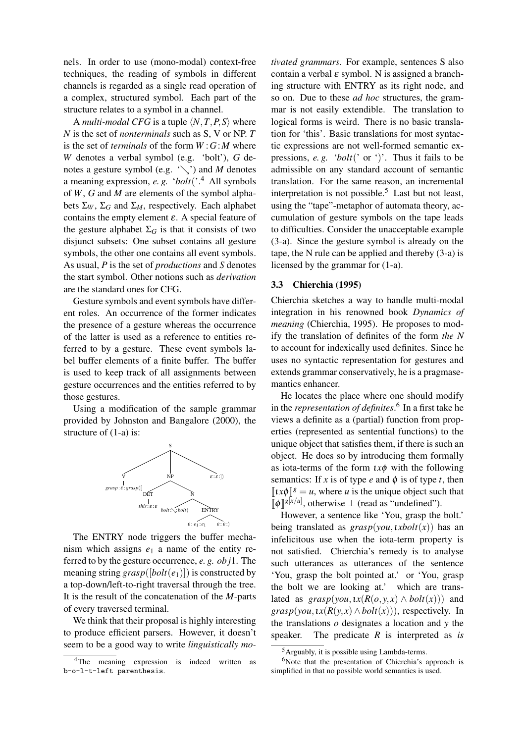nels. In order to use (mono-modal) context-free techniques, the reading of symbols in different channels is regarded as a single read operation of a complex, structured symbol. Each part of the structure relates to a symbol in a channel.

A *multi-modal CFG* is a tuple  $\langle N, T, P, S \rangle$  where *N* is the set of *nonterminals* such as S, V or NP. *T* is the set of *terminals* of the form *W* :*G*:*M* where *W* denotes a verbal symbol (e.g. 'bolt'), *G* denotes a gesture symbol (e.g. '\') and *M* denotes a meaning expression, *e. g.* '*bolt*('.<sup>4</sup> All symbols of *W*, *G* and *M* are elements of the symbol alphabets  $\Sigma_W$ ,  $\Sigma_G$  and  $\Sigma_M$ , respectively. Each alphabet contains the empty element  $\varepsilon$ . A special feature of the gesture alphabet  $\Sigma_G$  is that it consists of two disjunct subsets: One subset contains all gesture symbols, the other one contains all event symbols. As usual, *P* is the set of *productions* and *S* denotes the start symbol. Other notions such as *derivation* are the standard ones for CFG.

Gesture symbols and event symbols have different roles. An occurrence of the former indicates the presence of a gesture whereas the occurrence of the latter is used as a reference to entities referred to by a gesture. These event symbols label buffer elements of a finite buffer. The buffer is used to keep track of all assignments between gesture occurrences and the entities referred to by those gestures.

Using a modification of the sample grammar provided by Johnston and Bangalore (2000), the structure of (1-a) is:



The ENTRY node triggers the buffer mechanism which assigns *e*<sup>1</sup> a name of the entity referred to by the gesture occurrence, *e. g. ob j*1. The meaning string  $grasp([bolt(e_1)])$  is constructed by a top-down/left-to-right traversal through the tree. It is the result of the concatenation of the *M*-parts of every traversed terminal.

We think that their proposal is highly interesting to produce efficient parsers. However, it doesn't seem to be a good way to write *linguistically mo-* *tivated grammars*. For example, sentences S also contain a verbal  $\varepsilon$  symbol. N is assigned a branching structure with ENTRY as its right node, and so on. Due to these *ad hoc* structures, the grammar is not easily extendible. The translation to logical forms is weird. There is no basic translation for 'this'. Basic translations for most syntactic expressions are not well-formed semantic expressions, *e. g.* '*bolt*(' or ')'. Thus it fails to be admissible on any standard account of semantic translation. For the same reason, an incremental interpretation is not possible.<sup>5</sup> Last but not least, using the "tape"-metaphor of automata theory, accumulation of gesture symbols on the tape leads to difficulties. Consider the unacceptable example (3-a). Since the gesture symbol is already on the tape, the N rule can be applied and thereby (3-a) is licensed by the grammar for (1-a).

#### **3.3 Chierchia (1995)**

Chierchia sketches a way to handle multi-modal integration in his renowned book *Dynamics of meaning* (Chierchia, 1995). He proposes to modify the translation of definites of the form *the N* to account for indexically used definites. Since he uses no syntactic representation for gestures and extends grammar conservatively, he is a pragmasemantics enhancer.

He locates the place where one should modify in the *representation of definites*. 6 In a first take he views a definite as a (partial) function from properties (represented as sentential functions) to the unique object that satisfies them, if there is such an object. He does so by introducing them formally as iota-terms of the form  $\iota x \phi$  with the following semantics: If *x* is of type *e* and  $\phi$  is of type *t*, then  $\llbracket x \phi \rrbracket^g = u$ , where *u* is the unique object such that  $[\![\phi]\!]^{g[x/u]}$ , otherwise  $\bot$  (read as "undefined").

However, a sentence like 'You, grasp the bolt.' being translated as  $grasp(vou,txbolt(x))$  has an infelicitous use when the iota-term property is not satisfied. Chierchia's remedy is to analyse such utterances as utterances of the sentence 'You, grasp the bolt pointed at.' or 'You, grasp the bolt we are looking at.' which are translated as  $grasp(vou, \iota x(R(o, y, x) \wedge bolt(x)))$  and  $grasp(vou, \iota x(R(v, x) \wedge bolt(x)))$ , respectively. In the translations *o* designates a location and *y* the speaker. The predicate *R* is interpreted as *is*

<sup>&</sup>lt;sup>4</sup>The meaning expression is indeed written as b-o-l-t-left parenthesis.

<sup>5</sup>Arguably, it is possible using Lambda-terms.

 $6$ Note that the presentation of Chierchia's approach is simplified in that no possible world semantics is used.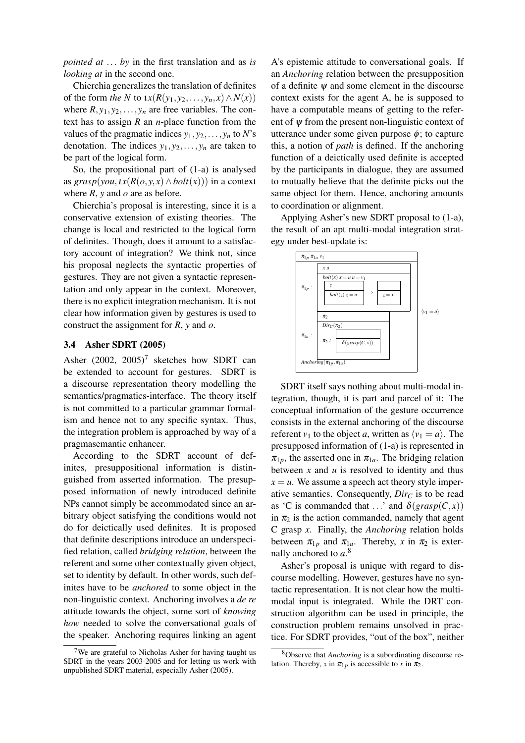*pointed at* ... *by* in the first translation and as *is looking at* in the second one.

Chierchia generalizes the translation of definites of the form *the* N to  $\iota x(R(y_1, y_2, \ldots, y_n, x) \wedge N(x))$ where  $R$ ,  $y_1$ ,  $y_2$ , ...,  $y_n$  are free variables. The context has to assign *R* an *n*-place function from the values of the pragmatic indices  $y_1, y_2, \ldots, y_n$  to *N*'s denotation. The indices  $y_1, y_2, \ldots, y_n$  are taken to be part of the logical form.

So, the propositional part of (1-a) is analysed as  $grasp(vou, \iota x(R(o, y, x) \wedge bolt(x)))$  in a context where *R*, *y* and *o* are as before.

Chierchia's proposal is interesting, since it is a conservative extension of existing theories. The change is local and restricted to the logical form of definites. Though, does it amount to a satisfactory account of integration? We think not, since his proposal neglects the syntactic properties of gestures. They are not given a syntactic representation and only appear in the context. Moreover, there is no explicit integration mechanism. It is not clear how information given by gestures is used to construct the assignment for *R*, *y* and *o*.

#### **3.4 Asher SDRT (2005)**

Asher  $(2002, 2005)^7$  sketches how SDRT can be extended to account for gestures. SDRT is a discourse representation theory modelling the semantics/pragmatics-interface. The theory itself is not committed to a particular grammar formalism and hence not to any specific syntax. Thus, the integration problem is approached by way of a pragmasemantic enhancer.

According to the SDRT account of definites, presuppositional information is distinguished from asserted information. The presupposed information of newly introduced definite NPs cannot simply be accommodated since an arbitrary object satisfying the conditions would not do for deictically used definites. It is proposed that definite descriptions introduce an underspecified relation, called *bridging relation*, between the referent and some other contextually given object, set to identity by default. In other words, such definites have to be *anchored* to some object in the non-linguistic context. Anchoring involves a *de re* attitude towards the object, some sort of *knowing how* needed to solve the conversational goals of the speaker. Anchoring requires linking an agent A's epistemic attitude to conversational goals. If an *Anchoring* relation between the presupposition of a definite  $\psi$  and some element in the discourse context exists for the agent A, he is supposed to have a computable means of getting to the referent of  $\psi$  from the present non-linguistic context of utterance under some given purpose  $\phi$ ; to capture this, a notion of *path* is defined. If the anchoring function of a deictically used definite is accepted by the participants in dialogue, they are assumed to mutually believe that the definite picks out the same object for them. Hence, anchoring amounts to coordination or alignment.

Applying Asher's new SDRT proposal to (1-a), the result of an apt multi-modal integration strategy under best-update is:



SDRT itself says nothing about multi-modal integration, though, it is part and parcel of it: The conceptual information of the gesture occurrence consists in the external anchoring of the discourse referent  $v_1$  to the object *a*, written as  $\langle v_1 = a \rangle$ . The presupposed information of (1-a) is represented in  $\pi_{1p}$ , the asserted one in  $\pi_{1a}$ . The bridging relation between *x* and *u* is resolved to identity and thus  $x = u$ . We assume a speech act theory style imperative semantics. Consequently, *Dir<sup>C</sup>* is to be read as 'C is commanded that ...' and  $\delta(grasp(C, x))$ in  $\pi_2$  is the action commanded, namely that agent C grasp *x*. Finally, the *Anchoring* relation holds between  $\pi_{1p}$  and  $\pi_{1a}$ . Thereby, *x* in  $\pi_2$  is externally anchored to *a*. 8

Asher's proposal is unique with regard to discourse modelling. However, gestures have no syntactic representation. It is not clear how the multimodal input is integrated. While the DRT construction algorithm can be used in principle, the construction problem remains unsolved in practice. For SDRT provides, "out of the box", neither

 $7$ We are grateful to Nicholas Asher for having taught us SDRT in the years 2003-2005 and for letting us work with unpublished SDRT material, especially Asher (2005).

<sup>8</sup>Observe that *Anchoring* is a subordinating discourse relation. Thereby, *x* in  $\pi_{1p}$  is accessible to *x* in  $\pi_2$ .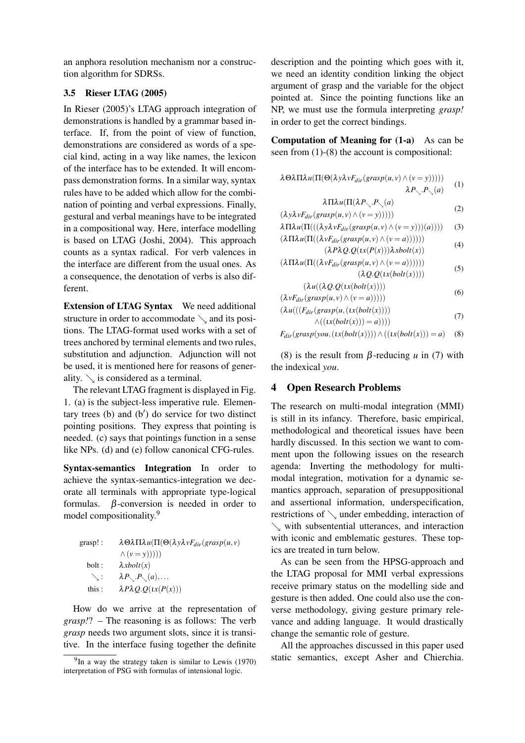an anphora resolution mechanism nor a construction algorithm for SDRSs.

### **3.5 Rieser LTAG (2005)**

In Rieser (2005)'s LTAG approach integration of demonstrations is handled by a grammar based interface. If, from the point of view of function, demonstrations are considered as words of a special kind, acting in a way like names, the lexicon of the interface has to be extended. It will encompass demonstration forms. In a similar way, syntax rules have to be added which allow for the combination of pointing and verbal expressions. Finally, gestural and verbal meanings have to be integrated in a compositional way. Here, interface modelling is based on LTAG (Joshi, 2004). This approach counts as a syntax radical. For verb valences in the interface are different from the usual ones. As a consequence, the denotation of verbs is also different.

**Extension of LTAG Syntax** We need additional structure in order to accommodate  $\setminus$  and its positions. The LTAG-format used works with a set of trees anchored by terminal elements and two rules, substitution and adjunction. Adjunction will not be used, it is mentioned here for reasons of generality.  $\setminus$  is considered as a terminal.

The relevant LTAG fragment is displayed in Fig. 1. (a) is the subject-less imperative rule. Elementary trees (b) and (b′ ) do service for two distinct pointing positions. They express that pointing is needed. (c) says that pointings function in a sense like NPs. (d) and (e) follow canonical CFG-rules.

**Syntax-semantics Integration** In order to achieve the syntax-semantics-integration we decorate all terminals with appropriate type-logical formulas.  $\beta$ -conversion is needed in order to model compositionality.<sup>9</sup>

grasp!:  $\lambda \Theta \lambda \Pi \lambda u(\Pi(\Theta(\lambda y \lambda v F_{dir}(grasp(u, v))))$  $\wedge$  (*v* = *y*))))) bolt :  $\lambda x \text{.}$   $\lambda x \text{.}$   $\lambda x \text{.}$  $\searrow$ :  $\lambda P_{\diagdown} P_{\diagdown} (a),...$ this :  $\lambda P \lambda Q \cdot Q(\iota x(P(x)))$ 

How do we arrive at the representation of *grasp!*? – The reasoning is as follows: The verb *grasp* needs two argument slots, since it is transitive. In the interface fusing together the definite description and the pointing which goes with it, we need an identity condition linking the object argument of grasp and the variable for the object pointed at. Since the pointing functions like an NP, we must use the formula interpreting *grasp!* in order to get the correct bindings.

**Computation of Meaning for (1-a)** As can be seen from (1)-(8) the account is compositional:

$$
\lambda \Theta \lambda \Pi \lambda u (\Pi (\Theta(\lambda y \lambda v F_{dir}(grasp(u, v) \land (v = y)))) \qquad (1)
$$
  

$$
\lambda P_{\searrow} P_{\searrow}(a)
$$

$$
\lambda \Pi \lambda u (\Pi (\lambda P_{\searrow}.P_{\searrow}(a)) \tag{2}
$$

$$
(\lambda y \lambda v F_{dir}(grasp(u, v) \land (v = y))))
$$

 $\lambda \Pi \lambda u(\Pi(((\lambda y \lambda v F_{dir}(grasp(u, v) \wedge (v = y)))(a))))$  (3)  $(\lambda \prod \lambda u(\prod((\lambda vF_{dir}(grasp(u,v) \wedge (v = a)))))))$ 

$$
(2P\lambda Q.Q(x(P(x)))\lambda xbold(x))
$$
 (4)

 $(\lambda \Pi \lambda u(\Pi((\lambda v F_{dir}(gray p(u, v) \wedge (v = a)))))))$ ( $\lambda Q. Q(\iota x (bolt(x))))$ ) (5)

$$
(\lambda u((\lambda \mathcal{Q} \mathcal{Q}(\iota x(bolt(x))))\tag{6}
$$

$$
(\lambda v F_{dir}(grayp(u, v) \land (v = a))))
$$
\n(6)

$$
(\lambda u(((F_{dir}(grasp(u,(ix(bolt(x))))\land ((ix(bolt(x))))=a))))\tag{7}
$$

$$
F_{dir}(grasp(you,(\iota x(bolt(x)))) \wedge ((\iota x(bolt(x)))) = a) \quad (8)
$$

(8) is the result from  $\beta$ -reducing *u* in (7) with the indexical *you*.

## **4 Open Research Problems**

The research on multi-modal integration (MMI) is still in its infancy. Therefore, basic empirical, methodological and theoretical issues have been hardly discussed. In this section we want to comment upon the following issues on the research agenda: Inverting the methodology for multimodal integration, motivation for a dynamic semantics approach, separation of presuppositional and assertional information, underspecification, restrictions of  $\searrow$  under embedding, interaction of  $\searrow$  with subsentential utterances, and interaction with iconic and emblematic gestures. These topics are treated in turn below.

As can be seen from the HPSG-approach and the LTAG proposal for MMI verbal expressions receive primary status on the modelling side and gesture is then added. One could also use the converse methodology, giving gesture primary relevance and adding language. It would drastically change the semantic role of gesture.

All the approaches discussed in this paper used static semantics, except Asher and Chierchia.

 $9$ In a way the strategy taken is similar to Lewis (1970) interpretation of PSG with formulas of intensional logic.